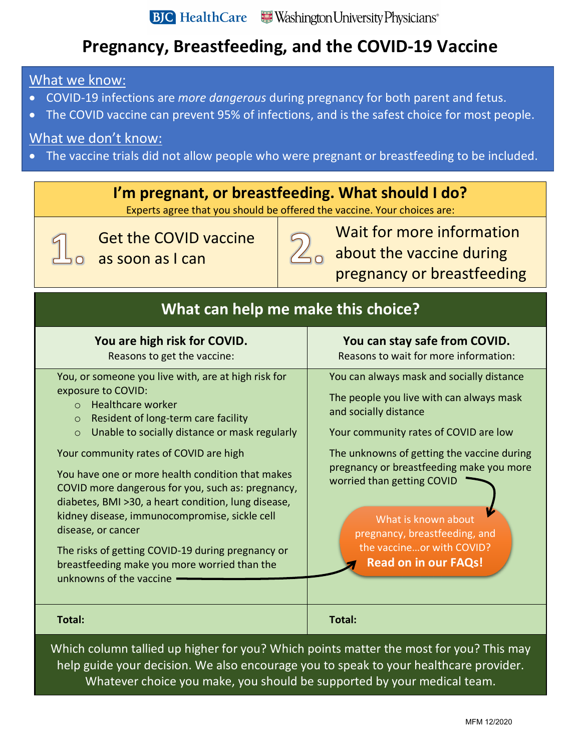# **Pregnancy, Breastfeeding, and the COVID-19 Vaccine**

### What we know:

- COVID-19 infections are *more dangerous* during pregnancy for both parent and fetus.
- The COVID vaccine can prevent 95% of infections, and is the safest choice for most people.

## What we don't know:

• The vaccine trials did not allow people who were pregnant or breastfeeding to be included.

# **I'm pregnant, or breastfeeding. What should I do?**

Experts agree that you should be offered the vaccine. Your choices are:

Get the COVID vaccine as soon as I can



Wait for more information 2<sub>0</sub> about the vaccine during pregnancy or breastfeeding

| What can help me make this choice?                                                                                                                                                                                                                                                                                                                                                                                                                                                                                                                                                                                                                 |                                                                                                                                                                                                                                                                                                                                                                                                     |  |
|----------------------------------------------------------------------------------------------------------------------------------------------------------------------------------------------------------------------------------------------------------------------------------------------------------------------------------------------------------------------------------------------------------------------------------------------------------------------------------------------------------------------------------------------------------------------------------------------------------------------------------------------------|-----------------------------------------------------------------------------------------------------------------------------------------------------------------------------------------------------------------------------------------------------------------------------------------------------------------------------------------------------------------------------------------------------|--|
| You are high risk for COVID.<br>Reasons to get the vaccine:                                                                                                                                                                                                                                                                                                                                                                                                                                                                                                                                                                                        | You can stay safe from COVID.<br>Reasons to wait for more information:                                                                                                                                                                                                                                                                                                                              |  |
| You, or someone you live with, are at high risk for<br>exposure to COVID:<br><b>Healthcare worker</b><br>$\Omega$<br>Resident of long-term care facility<br>$\circ$<br>Unable to socially distance or mask regularly<br>$\circ$<br>Your community rates of COVID are high<br>You have one or more health condition that makes<br>COVID more dangerous for you, such as: pregnancy,<br>diabetes, BMI >30, a heart condition, lung disease,<br>kidney disease, immunocompromise, sickle cell<br>disease, or cancer<br>The risks of getting COVID-19 during pregnancy or<br>breastfeeding make you more worried than the<br>unknowns of the vaccine - | You can always mask and socially distance<br>The people you live with can always mask<br>and socially distance<br>Your community rates of COVID are low<br>The unknowns of getting the vaccine during<br>pregnancy or breastfeeding make you more<br>worried than getting COVID<br>What is known about<br>pregnancy, breastfeeding, and<br>the vaccineor with COVID?<br><b>Read on in our FAQs!</b> |  |
| <b>Total:</b>                                                                                                                                                                                                                                                                                                                                                                                                                                                                                                                                                                                                                                      | <b>Total:</b>                                                                                                                                                                                                                                                                                                                                                                                       |  |
| Which column tallied up higher for you? Which points matter the most for you? This may                                                                                                                                                                                                                                                                                                                                                                                                                                                                                                                                                             |                                                                                                                                                                                                                                                                                                                                                                                                     |  |

Which column tallied up higher for you? Which points matter the most for you? This may help guide your decision. We also encourage you to speak to your healthcare provider. Whatever choice you make, you should be supported by your medical team.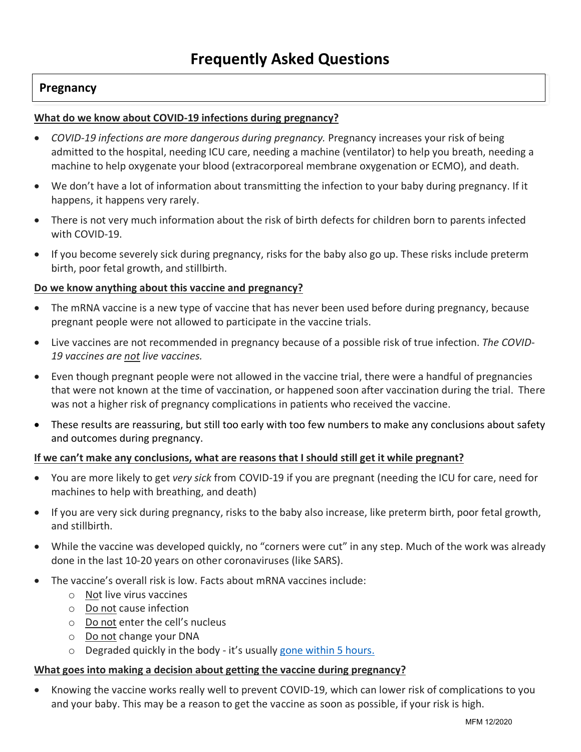### **Pregnancy**

### **What do we know about COVID-19 infections during pregnancy?**

- *COVID-19 infections are more dangerous during pregnancy.* Pregnancy increases your risk of being admitted to the hospital, needing ICU care, needing a machine (ventilator) to help you breath, needing a machine to help oxygenate your blood (extracorporeal membrane oxygenation or ECMO), and death.
- We don't have a lot of information about transmitting the infection to your baby during pregnancy. If it happens, it happens very rarely.
- There is not very much information about the risk of birth defects for children born to parents infected with COVID-19.
- If you become severely sick during pregnancy, risks for the baby also go up. These risks include preterm birth, poor fetal growth, and stillbirth.

### **Do we know anything about this vaccine and pregnancy?**

- The mRNA vaccine is a new type of vaccine that has never been used before during pregnancy, because pregnant people were not allowed to participate in the vaccine trials.
- Live vaccines are not recommended in pregnancy because of a possible risk of true infection. *The COVID-19 vaccines are not live vaccines.*
- Even though pregnant people were not allowed in the vaccine trial, there were a handful of pregnancies that were not known at the time of vaccination, or happened soon after vaccination during the trial. There was not a higher risk of pregnancy complications in patients who received the vaccine.
- These results are reassuring, but still too early with too few numbers to make any conclusions about safety and outcomes during pregnancy.

#### **If we can't make any conclusions, what are reasons that I should still get it while pregnant?**

- You are more likely to get *very sick* from COVID-19 if you are pregnant (needing the ICU for care, need for machines to help with breathing, and death)
- If you are very sick during pregnancy, risks to the baby also increase, like preterm birth, poor fetal growth, and stillbirth.
- While the vaccine was developed quickly, no "corners were cut" in any step. Much of the work was already done in the last 10-20 years on other coronaviruses (like SARS).
- The vaccine's overall risk is low. Facts about mRNA vaccines include:
	- o Not live virus vaccines
	- o Do not cause infection
	- o Do not enter the cell's nucleus
	- o Do not change your DNA
	- o Degraded quickly in the body it's usually gone within 5 hours.

#### **What goes into making a decision about getting the vaccine during pregnancy?**

• Knowing the vaccine works really well to prevent COVID-19, which can lower risk of complications to you and your baby. This may be a reason to get the vaccine as soon as possible, if your risk is high.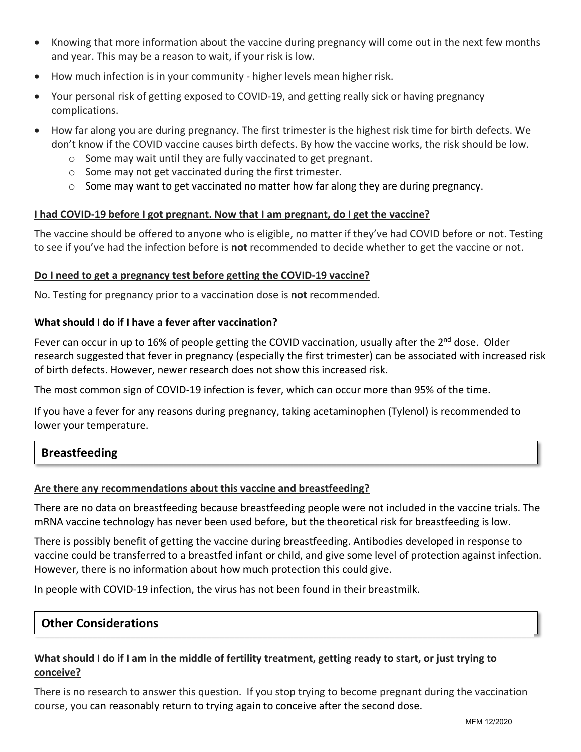- Knowing that more information about the vaccine during pregnancy will come out in the next few months and year. This may be a reason to wait, if your risk is low.
- How much infection is in your community higher levels mean higher risk.
- Your personal risk of getting exposed to COVID-19, and getting really sick or having pregnancy complications.
- How far along you are during pregnancy. The first trimester is the highest risk time for birth defects. We don't know if the COVID vaccine causes birth defects. By how the vaccine works, the risk should be low.
	- o Some may wait until they are fully vaccinated to get pregnant.
	- o Some may not get vaccinated during the first trimester.
	- $\circ$  Some may want to get vaccinated no matter how far along they are during pregnancy.

### **I had COVID-19 before I got pregnant. Now that I am pregnant, do I get the vaccine?**

The vaccine should be offered to anyone who is eligible, no matter if they've had COVID before or not. Testing to see if you've had the infection before is **not** recommended to decide whether to get the vaccine or not.

### **Do I need to get a pregnancy test before getting the COVID-19 vaccine?**

No. Testing for pregnancy prior to a vaccination dose is **not** recommended.

### **What should I do if I have a fever after vaccination?**

Fever can occur in up to 16% of people getting the COVID vaccination, usually after the 2<sup>nd</sup> dose. Older research suggested that fever in pregnancy (especially the first trimester) can be associated with increased risk of birth defects. However, newer research does not show this increased risk.

The most common sign of COVID-19 infection is fever, which can occur more than 95% of the time.

If you have a fever for any reasons during pregnancy, taking acetaminophen (Tylenol) is recommended to lower your temperature.

### **Breastfeeding**

### **Are there any recommendations about this vaccine and breastfeeding?**

There are no data on breastfeeding because breastfeeding people were not included in the vaccine trials. The mRNA vaccine technology has never been used before, but the theoretical risk for breastfeeding is low.

There is possibly benefit of getting the vaccine during breastfeeding. Antibodies developed in response to vaccine could be transferred to a breastfed infant or child, and give some level of protection against infection. However, there is no information about how much protection this could give.

In people with COVID-19 infection, the virus has not been found in their breastmilk.

### **Other Considerations**

### **What should I do if I am in the middle of fertility treatment, getting ready to start, or just trying to conceive?**

There is no research to answer this question. If you stop trying to become pregnant during the vaccination course, you can reasonably return to trying again to conceive after the second dose.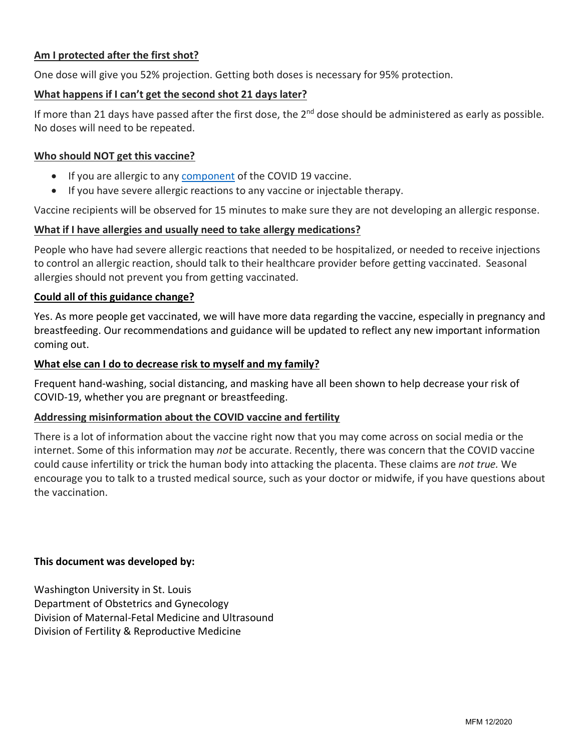### **Am I protected after the first shot?**

One dose will give you 52% projection. Getting both doses is necessary for 95% protection.

### **What happens if I can't get the second shot 21 days later?**

If more than 21 days have passed after the first dose, the  $2^{nd}$  dose should be administered as early as possible. No doses will need to be repeated.

### **Who should NOT get this vaccine?**

- If you are allergic to any component of the COVID 19 vaccine.
- If you have severe allergic reactions to any vaccine or injectable therapy.

Vaccine recipients will be observed for 15 minutes to make sure they are not developing an allergic response.

### **What if I have allergies and usually need to take allergy medications?**

People who have had severe allergic reactions that needed to be hospitalized, or needed to receive injections to control an allergic reaction, should talk to their healthcare provider before getting vaccinated. Seasonal allergies should not prevent you from getting vaccinated.

### **Could all of this guidance change?**

Yes. As more people get vaccinated, we will have more data regarding the vaccine, especially in pregnancy and breastfeeding. Our recommendations and guidance will be updated to reflect any new important information coming out.

### **What else can I do to decrease risk to myself and my family?**

Frequent hand-washing, social distancing, and masking have all been shown to help decrease your risk of COVID-19, whether you are pregnant or breastfeeding.

#### **Addressing misinformation about the COVID vaccine and fertility**

There is a lot of information about the vaccine right now that you may come across on social media or the internet. Some of this information may *not* be accurate. Recently, there was concern that the COVID vaccine could cause infertility or trick the human body into attacking the placenta. These claims are *not true.* We encourage you to talk to a trusted medical source, such as your doctor or midwife, if you have questions about the vaccination.

#### **This document was developed by:**

Washington University in St. Louis Department of Obstetrics and Gynecology Division of Maternal-Fetal Medicine and Ultrasound Division of Fertility & Reproductive Medicine